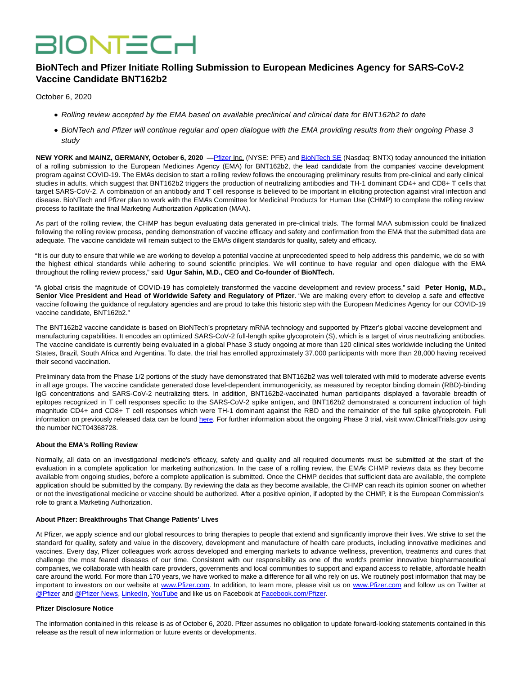# **BIONTECH**

# **BioNTech and Pfizer Initiate Rolling Submission to European Medicines Agency for SARS-CoV-2 Vaccine Candidate BNT162b2**

October 6, 2020

- Rolling review accepted by the EMA based on available preclinical and clinical data for BNT162b2 to date
- BioNTech and Pfizer will continue regular and open dialogue with the EMA providing results from their ongoing Phase 3 study

**NEW YORK and MAINZ, GERMANY, October 6, 2020** — *Pfizer Inc.* (NYSE: PFE) an[d BioNTech SE \(](https://www.globenewswire.com/Tracker?data=eYqiS2CWXQoSN__lL5QVTsInbqYlm3xUu4k9XcQ4yGCpvoTiRI2S_IUgF01F69IYPQutxhyOGJg1HcZLx64HPQ==)Nasdaq: BNTX) today announced the initiation of a rolling submission to the European Medicines Agency (EMA) for BNT162b2, the lead candidate from the companies' vaccine development program against COVID-19. The EMA's decision to start a rolling review follows the encouraging preliminary results from pre-clinical and early clinical studies in adults, which suggest that BNT162b2 triggers the production of neutralizing antibodies and TH-1 dominant CD4+ and CD8+ T cells that target SARS-CoV-2. A combination of an antibody and T cell response is believed to be important in eliciting protection against viral infection and disease. BioNTech and Pfizer plan to work with the EMA's Committee for Medicinal Products for Human Use (CHMP) to complete the rolling review process to facilitate the final Marketing Authorization Application (MAA).

As part of the rolling review, the CHMP has begun evaluating data generated in pre-clinical trials. The formal MAA submission could be finalized following the rolling review process, pending demonstration of vaccine efficacy and safety and confirmation from the EMA that the submitted data are adequate. The vaccine candidate will remain subject to the EMA's diligent standards for quality, safety and efficacy.

"It is our duty to ensure that while we are working to develop a potential vaccine at unprecedented speed to help address this pandemic, we do so with the highest ethical standards while adhering to sound scientific principles. We will continue to have regular and open dialogue with the EMA throughout the rolling review process," said **Ugur Sahin, M.D., CEO and Co-founder of BioNTech.**

"A global crisis the magnitude of COVID-19 has completely transformed the vaccine development and review process," said **Peter Honig, M.D., Senior Vice President and Head of Worldwide Safety and Regulatory of Pfizer**. "We are making every effort to develop a safe and effective vaccine following the guidance of regulatory agencies and are proud to take this historic step with the European Medicines Agency for our COVID-19 vaccine candidate, BNT162b2."

The BNT162b2 vaccine candidate is based on BioNTech's proprietary mRNA technology and supported by Pfizer's global vaccine development and manufacturing capabilities. It encodes an optimized SARS-CoV-2 full-length spike glycoprotein (S), which is a target of virus neutralizing antibodies. The vaccine candidate is currently being evaluated in a global Phase 3 study ongoing at more than 120 clinical sites worldwide including the United States, Brazil, South Africa and Argentina. To date, the trial has enrolled approximately 37,000 participants with more than 28,000 having received their second vaccination.

Preliminary data from the Phase 1/2 portions of the study have demonstrated that BNT162b2 was well tolerated with mild to moderate adverse events in all age groups. The vaccine candidate generated dose level-dependent immunogenicity, as measured by receptor binding domain (RBD)-binding IgG concentrations and SARS-CoV-2 neutralizing titers. In addition, BNT162b2-vaccinated human participants displayed a favorable breadth of epitopes recognized in T cell responses specific to the SARS-CoV-2 spike antigen, and BNT162b2 demonstrated a concurrent induction of high magnitude CD4+ and CD8+ T cell responses which were TH-1 dominant against the RBD and the remainder of the full spike glycoprotein. Full information on previously released data can be found [here.](https://www.globenewswire.com/Tracker?data=nZ6ocj69h8XeWlmfP0siaUESvrr-BpvZSalE3yWYMx-yU0_wFl3ZPw4CErUfC3RHHnW4DeycOUYaGetSh259vdAadg5-6kzqsZ006VtS60WbyIt9qZkMYKkubc58uba_yfrVGn6yxIaL1wze3Oji6aB4ZxJLe4YnpjR_9rLuAr6qcGY71RGzMwpA-mtAw-OvGgtSxbwqDasMQ-qGubjsrA==) For further information about the ongoing Phase 3 trial, visit www.ClinicalTrials.gov using the number NCT04368728.

# **About the EMA's Rolling Review**

Normally, all data on an investigational medicine's efficacy, safety and quality and all required documents must be submitted at the start of the evaluation in a complete application for marketing authorization. In the case of a rolling review, the EMA's CHMP reviews data as they become available from ongoing studies, before a complete application is submitted. Once the CHMP decides that sufficient data are available, the complete application should be submitted by the company. By reviewing the data as they become available, the CHMP can reach its opinion sooner on whether or not the investigational medicine or vaccine should be authorized. After a positive opinion, if adopted by the CHMP, it is the European Commission's role to grant a Marketing Authorization.

# **About Pfizer: Breakthroughs That Change Patients' Lives**

At Pfizer, we apply science and our global resources to bring therapies to people that extend and significantly improve their lives. We strive to set the standard for quality, safety and value in the discovery, development and manufacture of health care products, including innovative medicines and vaccines. Every day, Pfizer colleagues work across developed and emerging markets to advance wellness, prevention, treatments and cures that challenge the most feared diseases of our time. Consistent with our responsibility as one of the world's premier innovative biopharmaceutical companies, we collaborate with health care providers, governments and local communities to support and expand access to reliable, affordable health care around the world. For more than 170 years, we have worked to make a difference for all who rely on us. We routinely post information that may be important to investors on our website at [www.Pfizer.com.](https://www.globenewswire.com/Tracker?data=RnYjuX1qNnk63wnFRI2njpqTnZmofug3F6n0q486RsyKRiwrJNJcIciZiMBfuUq0GZ3yngXUcqldQ_dcyPoSMA==) In addition, to learn more, please visit us on [www.Pfizer.com a](https://www.globenewswire.com/Tracker?data=RnYjuX1qNnk63wnFRI2njkmOLQiaUtERuCyAw46Z_TdWZCyBM_WvVDpcY4ZG9UtIVqMNhzNpWv4it-VlepZVVg==)nd follow us on Twitter at [@Pfizer a](https://www.globenewswire.com/Tracker?data=Dy1P_6K8RcxM49fwzVHUiYbp69FX5JScBsrD_SSR2b74ggTzeZq6lBKdaUPev8X1utqpo_K0GThGxOj3LVynjA==)nd [@Pfizer News,](https://www.globenewswire.com/Tracker?data=Dy1P_6K8RcxM49fwzVHUiTDtE0CVDnjTs3WfKzPIXs30nJ2IXG_PpoR5APLg8fz1wbzQK7XFqm9yvLKvVeVl2WTufJS62dPuKyyZT7_CoV4=) [LinkedIn,](https://www.globenewswire.com/Tracker?data=_nmfq2MHlAvKIFq2zeD1c1bgP2PYtjHSzuXqemZFdvtqA2sj2Mz2e26Po_T9EqcDbPIsRP5ZiyfnqJAl8muAhR_cO1tfLdpFQ_IPXuHp1io=) [YouTube a](https://www.globenewswire.com/Tracker?data=iOHCZSQFHCAmXgkiihWeS33a7tn1WbSK17AI5gr_KFpQ8S3UJ84_ouvybrdK0BLgbj0ReXZijKrEKV49SEht2w==)nd like us on Facebook a[t Facebook.com/Pfizer.](https://www.globenewswire.com/Tracker?data=rRl-K34-suI5qIpogFaCIeR92BAJC8FW5d5KiKHlb2Yy03URwvHnd1XCYKz0KW6aB7fRBp0xxfLZ5Lrjx0WAC5d3OOHIuBmLiPEVUFBB_Zk=)

# **Pfizer Disclosure Notice**

The information contained in this release is as of October 6, 2020. Pfizer assumes no obligation to update forward-looking statements contained in this release as the result of new information or future events or developments.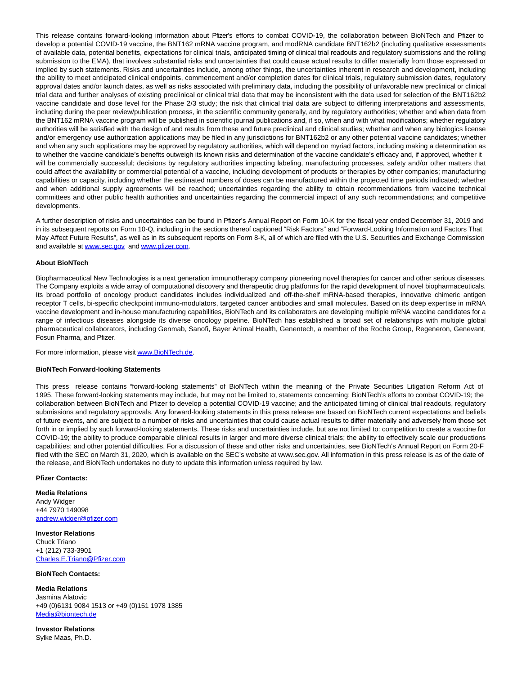This release contains forward-looking information about Pfizer's efforts to combat COVID-19, the collaboration between BioNTech and Pfizer to develop a potential COVID-19 vaccine, the BNT162 mRNA vaccine program, and modRNA candidate BNT162b2 (including qualitative assessments of available data, potential benefits, expectations for clinical trials, anticipated timing of clinical trial readouts and regulatory submissions and the rolling submission to the EMA), that involves substantial risks and uncertainties that could cause actual results to differ materially from those expressed or implied by such statements. Risks and uncertainties include, among other things, the uncertainties inherent in research and development, including the ability to meet anticipated clinical endpoints, commencement and/or completion dates for clinical trials, regulatory submission dates, regulatory approval dates and/or launch dates, as well as risks associated with preliminary data, including the possibility of unfavorable new preclinical or clinical trial data and further analyses of existing preclinical or clinical trial data that may be inconsistent with the data used for selection of the BNT162b2 vaccine candidate and dose level for the Phase 2/3 study; the risk that clinical trial data are subject to differing interpretations and assessments, including during the peer review/publication process, in the scientific community generally, and by regulatory authorities; whether and when data from the BNT162 mRNA vaccine program will be published in scientific journal publications and, if so, when and with what modifications; whether regulatory authorities will be satisfied with the design of and results from these and future preclinical and clinical studies; whether and when any biologics license and/or emergency use authorization applications may be filed in any jurisdictions for BNT162b2 or any other potential vaccine candidates; whether and when any such applications may be approved by regulatory authorities, which will depend on myriad factors, including making a determination as to whether the vaccine candidate's benefits outweigh its known risks and determination of the vaccine candidate's efficacy and, if approved, whether it will be commercially successful; decisions by regulatory authorities impacting labeling, manufacturing processes, safety and/or other matters that could affect the availability or commercial potential of a vaccine, including development of products or therapies by other companies; manufacturing capabilities or capacity, including whether the estimated numbers of doses can be manufactured within the projected time periods indicated; whether and when additional supply agreements will be reached; uncertainties regarding the ability to obtain recommendations from vaccine technical committees and other public health authorities and uncertainties regarding the commercial impact of any such recommendations; and competitive developments.

A further description of risks and uncertainties can be found in Pfizer's Annual Report on Form 10-K for the fiscal year ended December 31, 2019 and in its subsequent reports on Form 10-Q, including in the sections thereof captioned "Risk Factors" and "Forward-Looking Information and Factors That May Affect Future Results", as well as in its subsequent reports on Form 8-K, all of which are filed with the U.S. Securities and Exchange Commission and available at [www.sec.gov](https://www.globenewswire.com/Tracker?data=RnYjuX1qNnk63wnFRI2njqkWCUtSvj6x_99MqPLwYIXuudw4effilg2LyEquwqm-7QGJ6tM6dhKt8Yb6iY-5gw==) and [www.pfizer.com.](https://www.globenewswire.com/Tracker?data=RnYjuX1qNnk63wnFRI2njhMtuWVC6S5kOg8JnuFHwPyIzH1O7AiSzrr-wECJd2hrMZ7668ALHee8mVEXVNXWFA==)

#### **About BioNTech**

Biopharmaceutical New Technologies is a next generation immunotherapy company pioneering novel therapies for cancer and other serious diseases. The Company exploits a wide array of computational discovery and therapeutic drug platforms for the rapid development of novel biopharmaceuticals. Its broad portfolio of oncology product candidates includes individualized and off-the-shelf mRNA-based therapies, innovative chimeric antigen receptor T cells, bi-specific checkpoint immuno-modulators, targeted cancer antibodies and small molecules. Based on its deep expertise in mRNA vaccine development and in-house manufacturing capabilities, BioNTech and its collaborators are developing multiple mRNA vaccine candidates for a range of infectious diseases alongside its diverse oncology pipeline. BioNTech has established a broad set of relationships with multiple global pharmaceutical collaborators, including Genmab, Sanofi, Bayer Animal Health, Genentech, a member of the Roche Group, Regeneron, Genevant, Fosun Pharma, and Pfizer.

For more information, please visi[t www.BioNTech.de.](https://www.globenewswire.com/Tracker?data=RnYjuX1qNnk63wnFRI2nji2YHwURF5_EQ5yHBUem8rM_LPp1vQNklAQ1pIOiP8eL13q1Jj5kJtP9KcpWE1b9EQ==)

#### **BioNTech Forward-looking Statements**

This press release contains "forward-looking statements" of BioNTech within the meaning of the Private Securities Litigation Reform Act of 1995. These forward-looking statements may include, but may not be limited to, statements concerning: BioNTech's efforts to combat COVID-19; the collaboration between BioNTech and Pfizer to develop a potential COVID-19 vaccine; and the anticipated timing of clinical trial readouts, regulatory submissions and regulatory approvals. Any forward-looking statements in this press release are based on BioNTech current expectations and beliefs of future events, and are subject to a number of risks and uncertainties that could cause actual results to differ materially and adversely from those set forth in or implied by such forward-looking statements. These risks and uncertainties include, but are not limited to: competition to create a vaccine for COVID-19; the ability to produce comparable clinical results in larger and more diverse clinical trials; the ability to effectively scale our productions capabilities; and other potential difficulties. For a discussion of these and other risks and uncertainties, see BioNTech's Annual Report on Form 20-F filed with the SEC on March 31, 2020, which is available on the SEC's website at www.sec.gov. All information in this press release is as of the date of the release, and BioNTech undertakes no duty to update this information unless required by law.

#### **Pfizer Contacts:**

**Media Relations** Andy Widger +44 7970 149098 [andrew.widger@pfizer.com](https://www.globenewswire.com/Tracker?data=B-jFf8d18-SmvRKJzfm0xhGz2Bs6nzZgRJH3FrHJHz6QYgwaQ3PtZW_D-jyPCGEWwMgAHkWniIlZ5iEsIEGTT2vRStKgbObB1FudSF5TgpU8494NZ0i3lCHWpcvndojF)

# **Investor Relations**

Chuck Triano +1 (212) 733-3901 [Charles.E.Triano@Pfizer.com](https://www.globenewswire.com/Tracker?data=8otwUg46mr8ZTCqFveR9q1R8BXEUlTB5JP7Y1JtC7lFgkfIKiXJxgN3eslWjrwy_i97-wcMgZJL6JfxOp2R8vB24pV1Tf99G-JsGoSFjAFDsNRX08ZYZc5ZnmLV98uY9)

#### **BioNTech Contacts:**

**Media Relations** Jasmina Alatovic +49 (0)6131 9084 1513 or +49 (0)151 1978 1385 [Media@biontech.de](https://www.globenewswire.com/Tracker?data=p8iKsgZQHiuQBTlMtC8Fi8yow1TtHp5cTCyC2IT9DJykemN-IrMqhLx1lg6_wG4yXxS_oGeu35WM37myMxnHU88Nm4RnjuEHF38Nwsz1g5c=)

**Investor Relations** Sylke Maas, Ph.D.